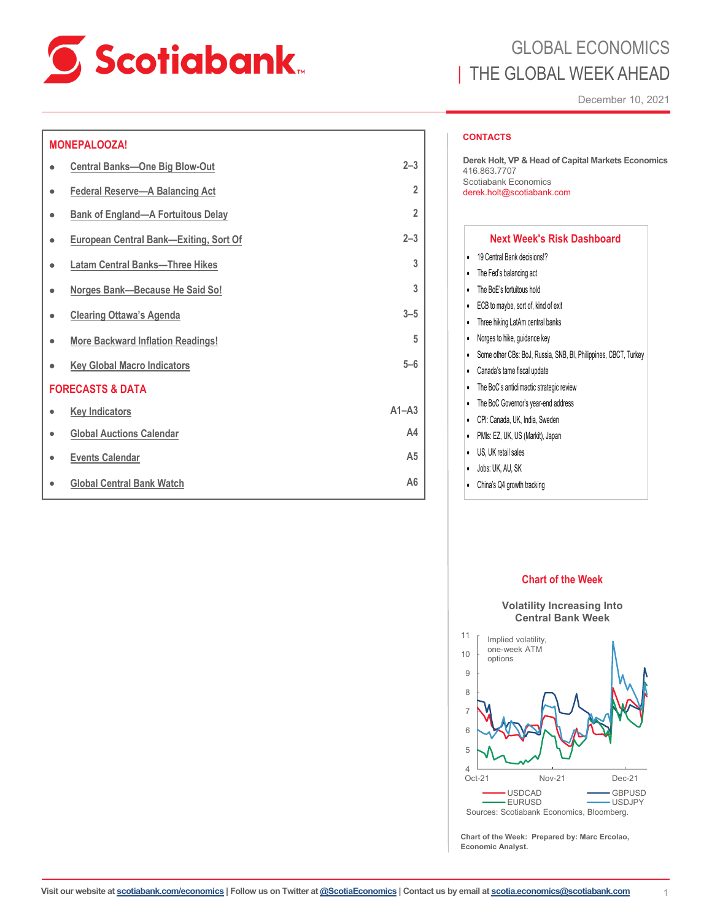

## **MONEPALOOZA!**

| ٠         | <b>Central Banks-One Big Blow-Out</b>         | $2 - 3$        |  |
|-----------|-----------------------------------------------|----------------|--|
| ٠         | <b>Federal Reserve-A Balancing Act</b>        | $\overline{2}$ |  |
| ۰         | <b>Bank of England-A Fortuitous Delay</b>     | $\overline{2}$ |  |
| ٠         | <b>European Central Bank-Exiting, Sort Of</b> | $2 - 3$        |  |
| ٠         | <b>Latam Central Banks-Three Hikes</b>        | 3              |  |
| ٠         | Norges Bank-Because He Said So!               | 3              |  |
| ٠         | <b>Clearing Ottawa's Agenda</b>               | $3 - 5$        |  |
| ٠         | <b>More Backward Inflation Readings!</b>      | 5              |  |
|           | <b>Key Global Macro Indicators</b>            | $5 - 6$        |  |
|           | <b>FORECASTS &amp; DATA</b>                   |                |  |
| $\bullet$ | <b>Key Indicators</b>                         | $A1 - A3$      |  |
| $\bullet$ | <b>Global Auctions Calendar</b>               | A <sub>4</sub> |  |
| $\bullet$ | <b>Events Calendar</b>                        | A <sub>5</sub> |  |
|           | <b>Global Central Bank Watch</b>              | A <sub>6</sub> |  |

# GLOBAL ECONOMICS THE GLOBAL WEEK AHEAD

December 10, 2021

## **CONTACTS**

**Derek Holt, VP & Head of Capital Markets Economics**  416.863.7707 Scotiabank Economics derek.holt@scotiabank.com

## **Next Week's Risk Dashboard**

- 19 Central Bank decisions!?
- The Fed's balancing act
- The BoE's fortuitous hold
- ECB to maybe, sort of, kind of exit
- Three hiking LatAm central banks
- Norges to hike, guidance key
- Some other CBs: BoJ, Russia, SNB, BI, Philippines, CBCT, Turkey
- Canada's tame fiscal update
- The BoC's anticlimactic strategic review
- The BoC Governor's year-end address
- CPI: Canada, UK, India, Sweden
- PMIs: EZ, UK, US (Markit), Japan
- US, UK retail sales
- Jobs: UK, AU, SK

11

• China's Q4 growth tracking







**Chart of the Week: Prepared by: Marc Ercolao, Economic Analyst.**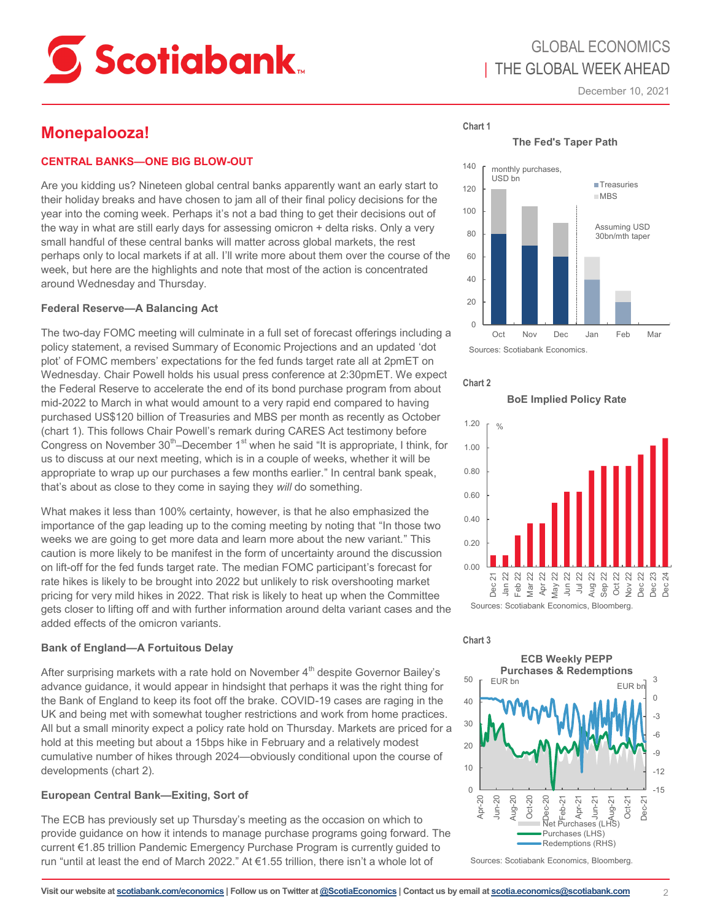<span id="page-1-0"></span>

# GLOBAL ECONOMICS | THE GLOBAL WEEK AHEAD

December 10, 2021

# **Monepalooza!**

## **CENTRAL BANKS—ONE BIG BLOW-OUT**

Are you kidding us? Nineteen global central banks apparently want an early start to their holiday breaks and have chosen to jam all of their final policy decisions for the year into the coming week. Perhaps it's not a bad thing to get their decisions out of the way in what are still early days for assessing omicron + delta risks. Only a very small handful of these central banks will matter across global markets, the rest perhaps only to local markets if at all. I'll write more about them over the course of the week, but here are the highlights and note that most of the action is concentrated around Wednesday and Thursday.

## **Federal Reserve—A Balancing Act**

The two-day FOMC meeting will culminate in a full set of forecast offerings including a policy statement, a revised Summary of Economic Projections and an updated 'dot plot' of FOMC members' expectations for the fed funds target rate all at 2pmET on Wednesday. Chair Powell holds his usual press conference at 2:30pmET. We expect the Federal Reserve to accelerate the end of its bond purchase program from about mid-2022 to March in what would amount to a very rapid end compared to having purchased US\$120 billion of Treasuries and MBS per month as recently as October (chart 1). This follows Chair Powell's remark during CARES Act testimony before Congress on November 30<sup>th</sup>–December 1<sup>st</sup> when he said "It is appropriate, I think, for us to discuss at our next meeting, which is in a couple of weeks, whether it will be appropriate to wrap up our purchases a few months earlier." In central bank speak, that's about as close to they come in saying they *will* do something.

What makes it less than 100% certainty, however, is that he also emphasized the importance of the gap leading up to the coming meeting by noting that "In those two weeks we are going to get more data and learn more about the new variant." This caution is more likely to be manifest in the form of uncertainty around the discussion on lift-off for the fed funds target rate. The median FOMC participant's forecast for rate hikes is likely to be brought into 2022 but unlikely to risk overshooting market pricing for very mild hikes in 2022. That risk is likely to heat up when the Committee gets closer to lifting off and with further information around delta variant cases and the added effects of the omicron variants.

## **Bank of England—A Fortuitous Delay**

After surprising markets with a rate hold on November  $4<sup>th</sup>$  despite Governor Bailey's advance guidance, it would appear in hindsight that perhaps it was the right thing for the Bank of England to keep its foot off the brake. COVID-19 cases are raging in the UK and being met with somewhat tougher restrictions and work from home practices. All but a small minority expect a policy rate hold on Thursday. Markets are priced for a hold at this meeting but about a 15bps hike in February and a relatively modest cumulative number of hikes through 2024—obviously conditional upon the course of developments (chart 2).

## **European Central Bank—Exiting, Sort of**

The ECB has previously set up Thursday's meeting as the occasion on which to provide guidance on how it intends to manage purchase programs going forward. The current €1.85 trillion Pandemic Emergency Purchase Program is currently guided to run "until at least the end of March 2022." At €1.55 trillion, there isn't a whole lot of

**The Fed's Taper Path**





**Chart 1**

**BoE Implied Policy Rate**



## **Chart 3**



Sources: Scotiabank Economics, Bloomberg.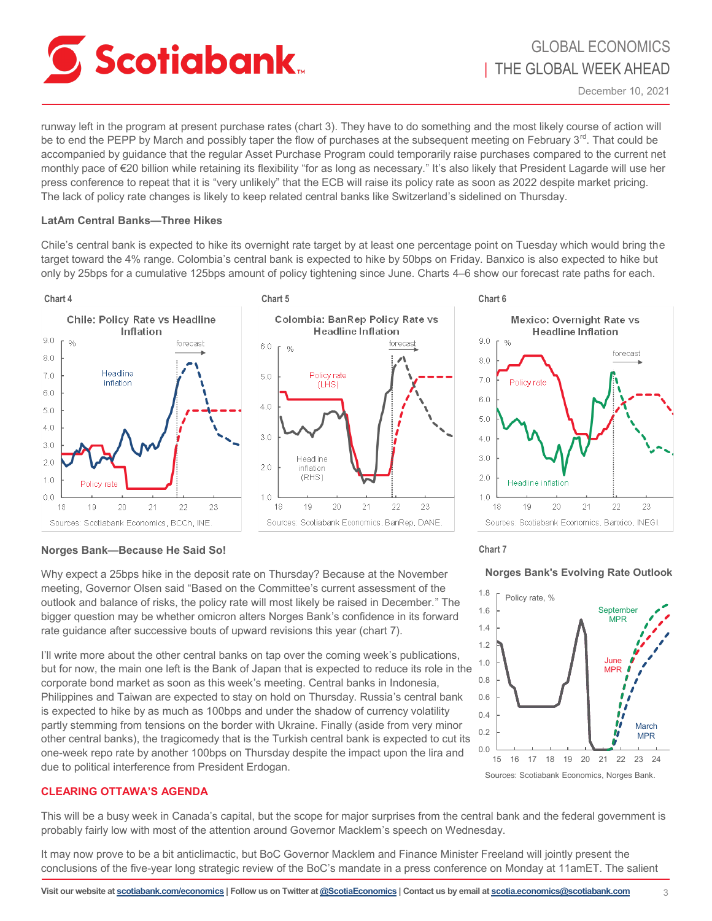<span id="page-2-0"></span>

runway left in the program at present purchase rates (chart 3). They have to do something and the most likely course of action will be to end the PEPP by March and possibly taper the flow of purchases at the subsequent meeting on February  $3^{rd}$ . That could be accompanied by guidance that the regular Asset Purchase Program could temporarily raise purchases compared to the current net monthly pace of €20 billion while retaining its flexibility "for as long as necessary." It's also likely that President Lagarde will use her press conference to repeat that it is "very unlikely" that the ECB will raise its policy rate as soon as 2022 despite market pricing. The lack of policy rate changes is likely to keep related central banks like Switzerland's sidelined on Thursday.

## **LatAm Central Banks—Three Hikes**

Chile's central bank is expected to hike its overnight rate target by at least one percentage point on Tuesday which would bring the target toward the 4% range. Colombia's central bank is expected to hike by 50bps on Friday. Banxico is also expected to hike but only by 25bps for a cumulative 125bps amount of policy tightening since June. Charts 4–6 show our forecast rate paths for each.





## **Norges Bank—Because He Said So!**

Why expect a 25bps hike in the deposit rate on Thursday? Because at the November meeting, Governor Olsen said "Based on the Committee's current assessment of the outlook and balance of risks, the policy rate will most likely be raised in December." The bigger question may be whether omicron alters Norges Bank's confidence in its forward rate guidance after successive bouts of upward revisions this year (chart 7).

I'll write more about the other central banks on tap over the coming week's publications, but for now, the main one left is the Bank of Japan that is expected to reduce its role in the corporate bond market as soon as this week's meeting. Central banks in Indonesia, Philippines and Taiwan are expected to stay on hold on Thursday. Russia's central bank is expected to hike by as much as 100bps and under the shadow of currency volatility partly stemming from tensions on the border with Ukraine. Finally (aside from very minor other central banks), the tragicomedy that is the Turkish central bank is expected to cut its one-week repo rate by another 100bps on Thursday despite the impact upon the lira and due to political interference from President Erdogan.

### 0.8 1.0 1.2 1.4 1.6 1.8 Policy rate, % **June** MPR **September MPR**

**Norges Bank's Evolving Rate Outlook**



## **CLEARING OTTAWA'S AGENDA**

This will be a busy week in Canada's capital, but the scope for major surprises from the central bank and the federal government is probably fairly low with most of the attention around Governor Macklem's speech on Wednesday.

It may now prove to be a bit anticlimactic, but BoC Governor Macklem and Finance Minister Freeland will jointly present the conclusions of the five-year long strategic review of the BoC's mandate in a press conference on Monday at 11amET. The salient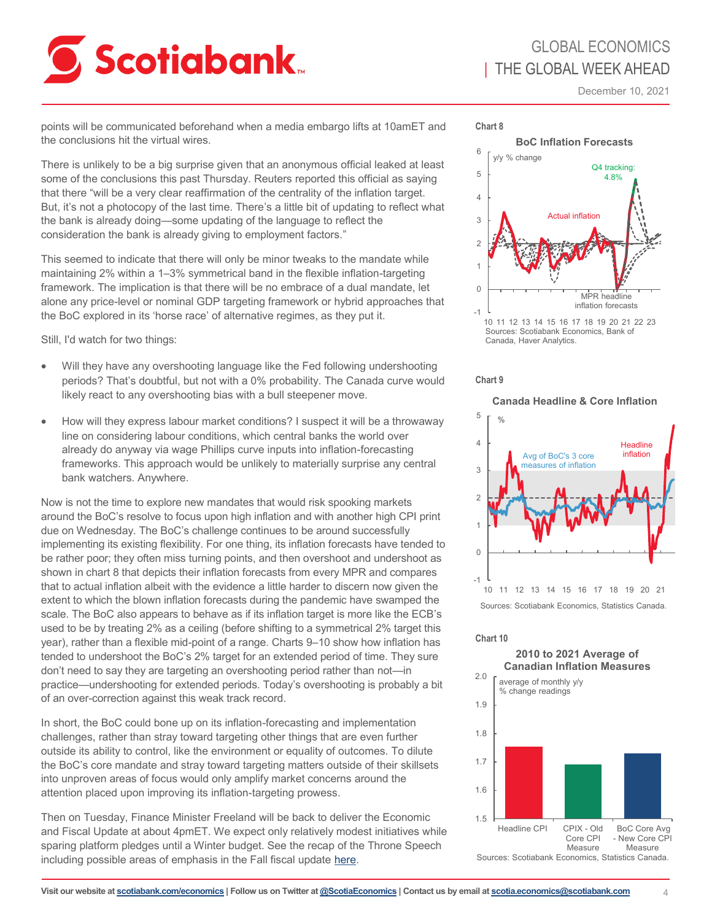

# GLOBAL ECONOMICS | THE GLOBAL WEEK AHEAD

December 10, 2021

points will be communicated beforehand when a media embargo lifts at 10amET and the conclusions hit the virtual wires.

There is unlikely to be a big surprise given that an anonymous official leaked at least some of the conclusions this past Thursday. Reuters reported this official as saying that there "will be a very clear reaffirmation of the centrality of the inflation target. But, it's not a photocopy of the last time. There's a little bit of updating to reflect what the bank is already doing—some updating of the language to reflect the consideration the bank is already giving to employment factors."

This seemed to indicate that there will only be minor tweaks to the mandate while maintaining 2% within a 1–3% symmetrical band in the flexible inflation-targeting framework. The implication is that there will be no embrace of a dual mandate, let alone any price-level or nominal GDP targeting framework or hybrid approaches that the BoC explored in its 'horse race' of alternative regimes, as they put it.

Still, I'd watch for two things:

- Will they have any overshooting language like the Fed following undershooting periods? That's doubtful, but not with a 0% probability. The Canada curve would likely react to any overshooting bias with a bull steepener move.
- How will they express labour market conditions? I suspect it will be a throwaway line on considering labour conditions, which central banks the world over already do anyway via wage Phillips curve inputs into inflation-forecasting frameworks. This approach would be unlikely to materially surprise any central bank watchers. Anywhere.

Now is not the time to explore new mandates that would risk spooking markets around the BoC's resolve to focus upon high inflation and with another high CPI print due on Wednesday. The BoC's challenge continues to be around successfully implementing its existing flexibility. For one thing, its inflation forecasts have tended to be rather poor; they often miss turning points, and then overshoot and undershoot as shown in chart 8 that depicts their inflation forecasts from every MPR and compares that to actual inflation albeit with the evidence a little harder to discern now given the extent to which the blown inflation forecasts during the pandemic have swamped the scale. The BoC also appears to behave as if its inflation target is more like the ECB's used to be by treating 2% as a ceiling (before shifting to a symmetrical 2% target this year), rather than a flexible mid-point of a range. Charts 9–10 show how inflation has tended to undershoot the BoC's 2% target for an extended period of time. They sure don't need to say they are targeting an overshooting period rather than not—in practice—undershooting for extended periods. Today's overshooting is probably a bit of an over-correction against this weak track record.

In short, the BoC could bone up on its inflation-forecasting and implementation challenges, rather than stray toward targeting other things that are even further outside its ability to control, like the environment or equality of outcomes. To dilute the BoC's core mandate and stray toward targeting matters outside of their skillsets into unproven areas of focus would only amplify market concerns around the attention placed upon improving its inflation-targeting prowess.

Then on Tuesday, Finance Minister Freeland will be back to deliver the Economic and Fiscal Update at about 4pmET. We expect only relatively modest initiatives while sparing platform pledges until a Winter budget. See the recap of the Throne Speech including possible areas of emphasis in the Fall fiscal update [here.](https://www.scotiabank.com/content/dam/scotiabank/sub-brands/scotiabank-economics/english/documents/fiscal-pulse/fedthronespeech_2021.pdf)



Sources: Scotiabank Economics, Bank of Canada, Haver Analytics.



**Canada Headline & Core Inflation**



### **Chart 10**

**2010 to 2021 Average of Canadian Inflation Measures**

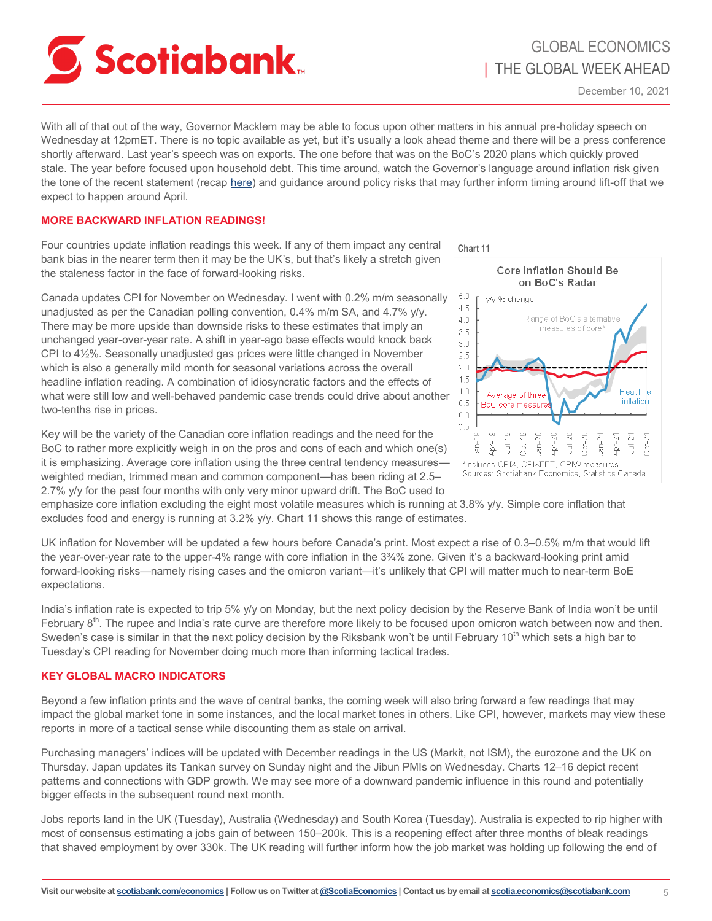<span id="page-4-0"></span>

With all of that out of the way, Governor Macklem may be able to focus upon other matters in his annual pre-holiday speech on Wednesday at 12pmET. There is no topic available as yet, but it's usually a look ahead theme and there will be a press conference shortly afterward. Last year's speech was on exports. The one before that was on the BoC's 2020 plans which quickly proved stale. The year before focused upon household debt. This time around, watch the Governor's language around inflation risk given the tone of the recent statement (recap [here\)](https://www.scotiabank.com/content/dam/scotiabank/sub-brands/scotiabank-economics/english/documents/scotia-flash/scotiaflash20211208.pdf) and guidance around policy risks that may further inform timing around lift-off that we expect to happen around April.

## **MORE BACKWARD INFLATION READINGS!**

Four countries update inflation readings this week. If any of them impact any central bank bias in the nearer term then it may be the UK's, but that's likely a stretch given the staleness factor in the face of forward-looking risks.

Canada updates CPI for November on Wednesday. I went with 0.2% m/m seasonally unadjusted as per the Canadian polling convention, 0.4% m/m SA, and 4.7% y/y. There may be more upside than downside risks to these estimates that imply an unchanged year-over-year rate. A shift in year-ago base effects would knock back CPI to 4½%. Seasonally unadjusted gas prices were little changed in November which is also a generally mild month for seasonal variations across the overall headline inflation reading. A combination of idiosyncratic factors and the effects of what were still low and well-behaved pandemic case trends could drive about another two-tenths rise in prices.

Key will be the variety of the Canadian core inflation readings and the need for the BoC to rather more explicitly weigh in on the pros and cons of each and which one(s) it is emphasizing. Average core inflation using the three central tendency measures weighted median, trimmed mean and common component—has been riding at 2.5– 2.7% y/y for the past four months with only very minor upward drift. The BoC used to



emphasize core inflation excluding the eight most volatile measures which is running at 3.8% y/y. Simple core inflation that excludes food and energy is running at 3.2% y/y. Chart 11 shows this range of estimates.

UK inflation for November will be updated a few hours before Canada's print. Most expect a rise of 0.3–0.5% m/m that would lift the year-over-year rate to the upper-4% range with core inflation in the 3¾% zone. Given it's a backward-looking print amid forward-looking risks—namely rising cases and the omicron variant—it's unlikely that CPI will matter much to near-term BoE expectations.

India's inflation rate is expected to trip 5% y/y on Monday, but the next policy decision by the Reserve Bank of India won't be until February  $8<sup>th</sup>$ . The rupee and India's rate curve are therefore more likely to be focused upon omicron watch between now and then. Sweden's case is similar in that the next policy decision by the Riksbank won't be until February  $10^{th}$  which sets a high bar to Tuesday's CPI reading for November doing much more than informing tactical trades.

## **KEY GLOBAL MACRO INDICATORS**

Beyond a few inflation prints and the wave of central banks, the coming week will also bring forward a few readings that may impact the global market tone in some instances, and the local market tones in others. Like CPI, however, markets may view these reports in more of a tactical sense while discounting them as stale on arrival.

Purchasing managers' indices will be updated with December readings in the US (Markit, not ISM), the eurozone and the UK on Thursday. Japan updates its Tankan survey on Sunday night and the Jibun PMIs on Wednesday. Charts 12–16 depict recent patterns and connections with GDP growth. We may see more of a downward pandemic influence in this round and potentially bigger effects in the subsequent round next month.

Jobs reports land in the UK (Tuesday), Australia (Wednesday) and South Korea (Tuesday). Australia is expected to rip higher with most of consensus estimating a jobs gain of between 150–200k. This is a reopening effect after three months of bleak readings that shaved employment by over 330k. The UK reading will further inform how the job market was holding up following the end of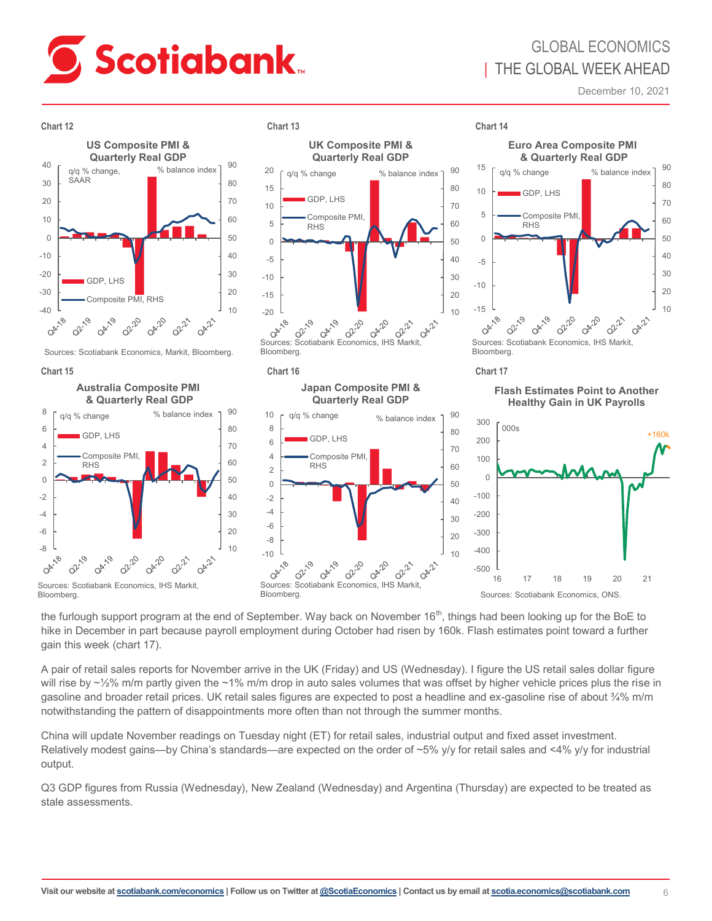

# GLOBAL ECONOMICS | THE GLOBAL WEEK AHEAD

December 10, 2021



the furlough support program at the end of September. Way back on November  $16<sup>th</sup>$ , things had been looking up for the BoE to hike in December in part because payroll employment during October had risen by 160k. Flash estimates point toward a further gain this week (chart 17).

A pair of retail sales reports for November arrive in the UK (Friday) and US (Wednesday). I figure the US retail sales dollar figure will rise by  $\sim$ 1/2% m/m partly given the  $\sim$ 1% m/m drop in auto sales volumes that was offset by higher vehicle prices plus the rise in gasoline and broader retail prices. UK retail sales figures are expected to post a headline and ex-gasoline rise of about ¾% m/m notwithstanding the pattern of disappointments more often than not through the summer months.

China will update November readings on Tuesday night (ET) for retail sales, industrial output and fixed asset investment. Relatively modest gains—by China's standards—are expected on the order of ~5% y/y for retail sales and <4% y/y for industrial output.

Q3 GDP figures from Russia (Wednesday), New Zealand (Wednesday) and Argentina (Thursday) are expected to be treated as stale assessments.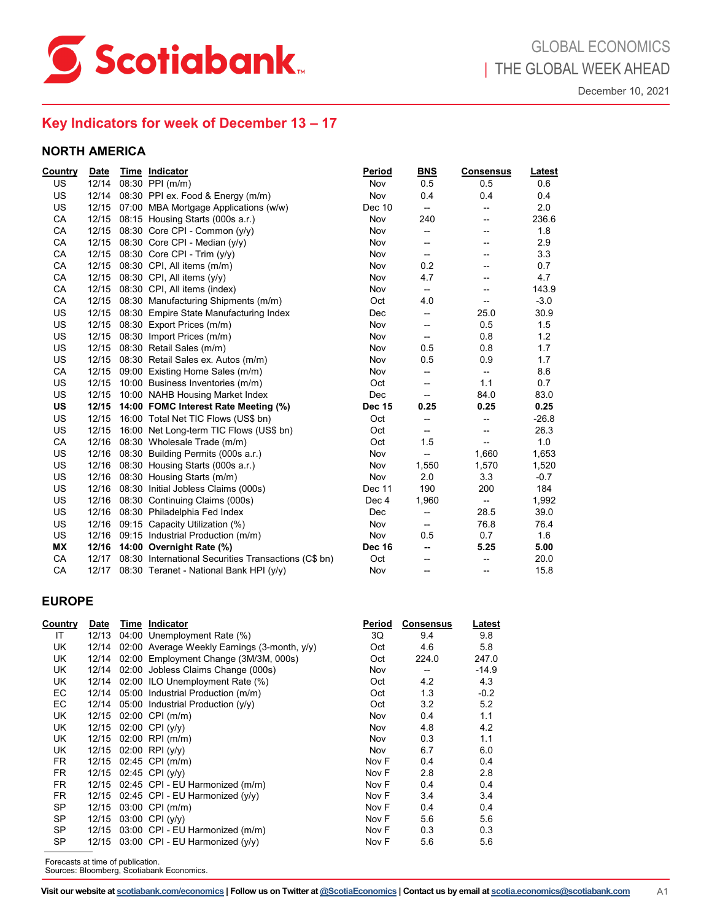<span id="page-6-0"></span>

## **Key Indicators for week of December 13 – 17**

## **NORTH AMERICA**

| Country   | <b>Date</b> | Time Indicator                                       | Period        | <b>BNS</b>               | <b>Consensus</b>  | <b>Latest</b> |
|-----------|-------------|------------------------------------------------------|---------------|--------------------------|-------------------|---------------|
| US.       | 12/14       | 08:30 PPI (m/m)                                      | Nov           | 0.5                      | 0.5               | 0.6           |
| <b>US</b> | 12/14       | 08:30 PPI ex. Food & Energy (m/m)                    | Nov           | 0.4                      | 0.4               | 0.4           |
| US        | 12/15       | 07:00 MBA Mortgage Applications (w/w)                | Dec 10        | --                       | --                | 2.0           |
| <b>CA</b> | 12/15       | 08:15 Housing Starts (000s a.r.)                     | Nov           | 240                      | --                | 236.6         |
| CA        |             | 12/15 08:30 Core CPI - Common $(y/y)$                | Nov           | --                       | --                | 1.8           |
| CA        | 12/15       | 08:30 Core CPI - Median (y/y)                        | Nov           | --                       | --                | 2.9           |
| CA        | 12/15       | 08:30 Core CPI - Trim (y/y)                          | Nov           | --                       | --                | 3.3           |
| CA        | 12/15       | 08:30 CPI, All items (m/m)                           | Nov           | 0.2                      | --                | 0.7           |
| <b>CA</b> | 12/15       | 08:30 CPI, All items $(y/y)$                         | Nov           | 4.7                      | --                | 4.7           |
| CA        | 12/15       | 08:30 CPI, All items (index)                         | Nov           | --                       |                   | 143.9         |
| <b>CA</b> |             | 12/15 08:30 Manufacturing Shipments (m/m)            | Oct           | 4.0                      | --                | $-3.0$        |
| US        |             | 12/15 08:30 Empire State Manufacturing Index         | Dec           | --                       | 25.0              | 30.9          |
| <b>US</b> | 12/15       | 08:30 Export Prices (m/m)                            | Nov           | --                       | 0.5               | 1.5           |
| US        | 12/15       | 08:30 Import Prices (m/m)                            | Nov           | --                       | 0.8               | 1.2           |
| <b>US</b> | 12/15       | 08:30 Retail Sales (m/m)                             | Nov           | 0.5                      | 0.8               | 1.7           |
| US        | 12/15       | 08:30 Retail Sales ex. Autos (m/m)                   | Nov           | 0.5                      | 0.9               | 1.7           |
| <b>CA</b> | 12/15       | 09:00 Existing Home Sales (m/m)                      | Nov           | --                       | $\qquad \qquad -$ | 8.6           |
| US        | 12/15       | 10:00 Business Inventories (m/m)                     | Oct           | --                       | 1.1               | 0.7           |
| US        | 12/15       | 10:00 NAHB Housing Market Index                      | Dec           | --                       | 84.0              | 83.0          |
| US        | 12/15       | 14:00 FOMC Interest Rate Meeting (%)                 | <b>Dec 15</b> | 0.25                     | 0.25              | 0.25          |
| US        | 12/15       | 16:00 Total Net TIC Flows (US\$ bn)                  | Oct           | --                       |                   | $-26.8$       |
| US        | 12/15       | 16:00 Net Long-term TIC Flows (US\$ bn)              | Oct           | --                       | --                | 26.3          |
| CA        | 12/16       | 08:30 Wholesale Trade (m/m)                          | Oct           | 1.5                      | --                | 1.0           |
| US        | 12/16       | 08:30 Building Permits (000s a.r.)                   | Nov           | $\overline{a}$           | 1,660             | 1,653         |
| US        | 12/16       | 08:30 Housing Starts (000s a.r.)                     | Nov           | 1,550                    | 1,570             | 1,520         |
| US        | 12/16       | 08:30 Housing Starts (m/m)                           | Nov           | 2.0                      | 3.3               | $-0.7$        |
| US        | 12/16       | 08:30 Initial Jobless Claims (000s)                  | Dec 11        | 190                      | 200               | 184           |
| US        | 12/16       | 08:30 Continuing Claims (000s)                       | Dec 4         | 1,960                    | --                | 1,992         |
| US        | 12/16       | 08:30 Philadelphia Fed Index                         | <b>Dec</b>    | $\overline{\phantom{a}}$ | 28.5              | 39.0          |
| US        | 12/16       | 09:15 Capacity Utilization (%)                       | Nov           | --                       | 76.8              | 76.4          |
| US.       | 12/16       | 09:15 Industrial Production (m/m)                    | Nov           | 0.5                      | 0.7               | 1.6           |
| ΜX        | 12/16       | 14:00 Overnight Rate (%)                             | <b>Dec 16</b> | --                       | 5.25              | 5.00          |
| CA        | 12/17       | 08:30 International Securities Transactions (C\$ bn) | Oct           | --                       | --                | 20.0          |
| CA        | 12/17       | 08:30 Teranet - National Bank HPI (y/y)              | Nov           | --                       | --                | 15.8          |

| <b>Country</b> | Date  | Time Indicator                               | Period | <b>Consensus</b> | Latest  |
|----------------|-------|----------------------------------------------|--------|------------------|---------|
| IT             | 12/13 | 04:00 Unemployment Rate (%)                  | 3Q     | 9.4              | 9.8     |
| UK             | 12/14 | 02:00 Average Weekly Earnings (3-month, y/y) | Oct    | 4.6              | 5.8     |
| UK             | 12/14 | 02:00 Employment Change (3M/3M, 000s)        | Oct    | 224.0            | 247.0   |
| UK             | 12/14 | 02:00 Jobless Claims Change (000s)           | Nov    | --               | $-14.9$ |
| UK             |       | 12/14 02:00 ILO Unemployment Rate (%)        | Oct    | 4.2              | 4.3     |
| EC             | 12/14 | 05:00 Industrial Production (m/m)            | Oct    | 1.3              | $-0.2$  |
| EC             | 12/14 | 05:00 Industrial Production $(y/y)$          | Oct    | 3.2              | 5.2     |
| UK             | 12/15 | $02:00$ CPI (m/m)                            | Nov    | 0.4              | 1.1     |
| UK             | 12/15 | 02:00 CPI $(y/y)$                            | Nov    | 4.8              | 4.2     |
| UK             | 12/15 | 02:00 RPI (m/m)                              | Nov    | 0.3              | 1.1     |
| UK             | 12/15 | $02:00$ RPI $(y/y)$                          | Nov    | 6.7              | 6.0     |
| FR.            | 12/15 | 02:45 CPI (m/m)                              | Nov F  | 0.4              | 0.4     |
| FR.            | 12/15 | 02:45 CPI (y/y)                              | Nov F  | 2.8              | 2.8     |
| <b>FR</b>      | 12/15 | 02:45 CPI - EU Harmonized (m/m)              | Nov F  | 0.4              | 0.4     |
| <b>FR</b>      | 12/15 | 02:45 CPI - EU Harmonized $(y/y)$            | Nov F  | 3.4              | 3.4     |
| SP             | 12/15 | 03:00 CPI (m/m)                              | Nov F  | 0.4              | 0.4     |
| <b>SP</b>      | 12/15 | 03:00 CPI (y/y)                              | Nov F  | 5.6              | 5.6     |
| SP             | 12/15 | 03:00 CPI - EU Harmonized (m/m)              | Nov F  | 0.3              | 0.3     |
| <b>SP</b>      |       | 12/15 03:00 CPI - EU Harmonized $(y/y)$      | Nov F  | 5.6              | 5.6     |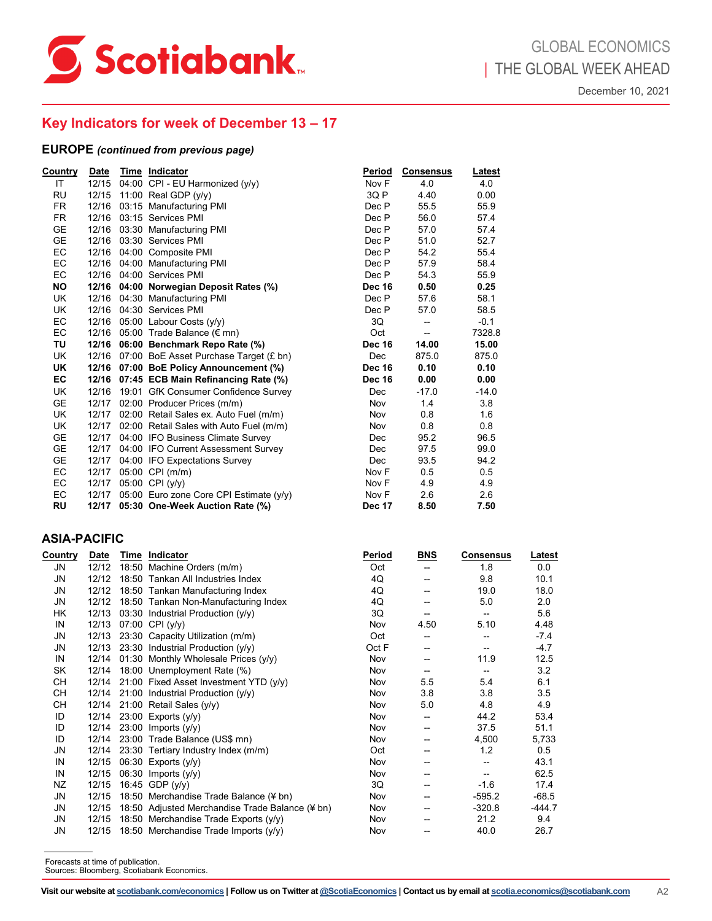

## **Key Indicators for week of December 13 – 17**

|                                                                                  |                                   | Date Time Indicator                                                        | Period        | <b>Consensus</b>         | <u>Latest</u>                      |                                                       |
|----------------------------------------------------------------------------------|-----------------------------------|----------------------------------------------------------------------------|---------------|--------------------------|------------------------------------|-------------------------------------------------------|
|                                                                                  |                                   | 12/15 04:00 CPI - EU Harmonized $(y/y)$                                    | Nov F         | 4.0                      | 4.0                                |                                                       |
|                                                                                  |                                   | 12/15 11:00 Real GDP (y/y)                                                 | 3Q P          | 4.40                     | 0.00                               |                                                       |
|                                                                                  |                                   | 12/16 03:15 Manufacturing PMI                                              | Dec P         | 55.5                     | 55.9                               |                                                       |
| <b>FR</b>                                                                        |                                   | 12/16 03:15 Services PMI                                                   | Dec P         | 56.0                     | 57.4                               |                                                       |
| GE                                                                               |                                   | 12/16 03:30 Manufacturing PMI                                              | Dec P         | 57.0                     | 57.4                               |                                                       |
| GE                                                                               |                                   | 12/16  03:30 Services PMI                                                  | Dec P         | 51.0                     | 52.7                               |                                                       |
| EC                                                                               |                                   | 12/16 04:00 Composite PMI                                                  | Dec P         | 54.2                     | 55.4                               |                                                       |
| EC                                                                               |                                   | 12/16 04:00 Manufacturing PMI                                              | Dec P         | 57.9                     | 58.4                               |                                                       |
| EC                                                                               |                                   | 12/16 04:00 Services PMI                                                   | Dec P         | 54.3                     | 55.9                               |                                                       |
| <b>NO</b>                                                                        |                                   | 12/16 04:00 Norwegian Deposit Rates (%)                                    | Dec 16        | 0.50                     | 0.25                               |                                                       |
| UK                                                                               |                                   | 12/16 04:30 Manufacturing PMI                                              | Dec P         | 57.6                     | 58.1                               |                                                       |
| UK                                                                               |                                   | 12/16 04:30 Services PMI                                                   | Dec P         | 57.0                     | 58.5                               |                                                       |
| EC                                                                               |                                   | 12/16 05:00 Labour Costs (y/y)                                             | 3Q            | --                       | $-0.1$                             |                                                       |
| EC                                                                               |                                   | 12/16 05:00 Trade Balance ( $\notin$ mn)                                   | Oct           | $\overline{\phantom{a}}$ | 7328.8                             |                                                       |
| TU                                                                               |                                   | 12/16 06:00 Benchmark Repo Rate (%)                                        | <b>Dec 16</b> | 14.00                    | 15.00                              |                                                       |
| UK                                                                               |                                   | 12/16 07:00 BoE Asset Purchase Target (£ bn)                               | Dec           | 875.0                    | 875.0                              |                                                       |
| UK                                                                               |                                   | 12/16 07:00 BoE Policy Announcement (%)                                    | <b>Dec 16</b> | 0.10                     | 0.10                               |                                                       |
| EC                                                                               |                                   | 12/16 07:45 ECB Main Refinancing Rate (%)                                  | Dec 16        | 0.00                     | 0.00                               |                                                       |
| UK<br>GE                                                                         |                                   | 12/16 19:01 GfK Consumer Confidence Survey                                 | Dec           | $-17.0$                  | $-14.0$                            |                                                       |
|                                                                                  |                                   | 12/17 02:00 Producer Prices (m/m)                                          | Nov           | 1.4                      | 3.8                                |                                                       |
| UK                                                                               |                                   | 12/17 02:00 Retail Sales ex. Auto Fuel (m/m)                               | Nov           | 0.8                      | 1.6                                |                                                       |
| UK                                                                               |                                   | 12/17 02:00 Retail Sales with Auto Fuel (m/m)                              | Nov           | 0.8                      | 0.8                                |                                                       |
| GE                                                                               |                                   | 12/17 04:00 IFO Business Climate Survey                                    | Dec           | 95.2                     | 96.5                               |                                                       |
| GE                                                                               |                                   | 12/17 04:00 IFO Current Assessment Survey                                  | Dec           | 97.5                     | 99.0                               |                                                       |
| GE<br>EC                                                                         |                                   | 12/17 04:00 IFO Expectations Survey<br>12/17 05:00 CPI (m/m)               | Dec<br>Nov F  | 93.5<br>0.5              | 94.2<br>0.5                        |                                                       |
| EC                                                                               |                                   | 12/17 05:00 CPI (y/y)                                                      | Nov F         | 4.9                      | 4.9                                |                                                       |
| EC                                                                               |                                   | 12/17 05:00 Euro zone Core CPI Estimate (y/y)                              | Nov F         | 2.6                      | 2.6                                |                                                       |
| <b>RU</b>                                                                        |                                   | 12/17 05:30 One-Week Auction Rate (%)                                      | Dec 17        | 8.50                     | 7.50                               |                                                       |
|                                                                                  | ASIA-PACIFIC                      |                                                                            |               |                          |                                    |                                                       |
|                                                                                  |                                   | Date Time Indicator                                                        | Period        | <b>BNS</b>               | <u>Consensus</u>                   |                                                       |
|                                                                                  |                                   | 12/12 18:50 Machine Orders (m/m)                                           | Oct           | --                       | 1.8                                | 0.0                                                   |
|                                                                                  |                                   | 12/12 18:50 Tankan All Industries Index                                    | 4Q            | --                       | 9.8                                | 10.1                                                  |
| <u>Country</u><br>JN<br>JN<br>JN                                                 |                                   | 12/12 18:50 Tankan Manufacturing Index                                     | 4Q            | --                       | 19.0                               | 18.0                                                  |
|                                                                                  |                                   | 12/12 18:50 Tankan Non-Manufacturing Index                                 | 4Q            | --                       | 5.0                                | 2.0                                                   |
|                                                                                  |                                   | 12/13 03:30 Industrial Production (y/y)                                    | 3Q            | --                       | $\overline{\phantom{a}}$           | 5.6                                                   |
|                                                                                  |                                   | 12/13 07:00 CPI (y/y)                                                      | Nov           | 4.50                     | 5.10                               | 4.48                                                  |
|                                                                                  |                                   | 12/13 23:30 Capacity Utilization (m/m)                                     | Oct           | --                       | --                                 | $-7.4$                                                |
|                                                                                  |                                   | 12/13 23:30 Industrial Production (y/y)                                    | Oct F         | --                       | $\hspace{0.05cm} -\hspace{0.05cm}$ | $-4.7$                                                |
|                                                                                  |                                   | 12/14 01:30 Monthly Wholesale Prices (y/y)                                 | Nov           | --                       | 11.9                               | 12.5                                                  |
|                                                                                  |                                   | 12/14 18:00 Unemployment Rate (%)                                          | Nov           | --                       | $\overline{\phantom{a}}$           | 3.2                                                   |
|                                                                                  |                                   | 12/14 21:00 Fixed Asset Investment YTD (y/y)                               | Nov           | 5.5                      | 5.4                                | 6.1                                                   |
|                                                                                  |                                   | 12/14 21:00 Industrial Production (y/y)                                    | Nov           | 3.8                      | 3.8                                | 3.5                                                   |
|                                                                                  |                                   | 12/14 21:00 Retail Sales (y/y)                                             | Nov           | 5.0                      | 4.8                                | 4.9                                                   |
|                                                                                  |                                   | 12/14 23:00 Exports (y/y)                                                  | Nov           | --<br>--                 | 44.2                               | 53.4                                                  |
|                                                                                  |                                   | 12/14 23:00 Imports (y/y)                                                  | Nov           | --                       | 37.5                               | 51.1                                                  |
| JN<br>HK<br>IN<br>JN<br>JN<br>IN<br>SK<br>CН<br>CН<br>CН<br>ID<br>ID<br>ID<br>JN |                                   | 12/14 23:00 Trade Balance (US\$ mn)                                        | Nov<br>Oct    | --                       | 4,500<br>1.2                       |                                                       |
|                                                                                  |                                   | 12/14 23:30 Tertiary Industry Index (m/m)<br>12/15 $06:30$ Exports $(y/y)$ | Nov           | --                       | --                                 | 0.5<br>43.1                                           |
| IN<br>IN                                                                         |                                   |                                                                            | Nov           |                          | --                                 |                                                       |
|                                                                                  |                                   | 12/15 06:30 Imports (y/y)<br>12/15 16:45 GDP (y/y)                         | 3Q            | --                       | $-1.6$                             | 62.5<br>17.4                                          |
| NZ<br>JN                                                                         |                                   | 12/15 18:50 Merchandise Trade Balance (¥ bn)                               | Nov           | $\overline{a}$           | $-595.2$                           |                                                       |
| JN                                                                               |                                   | 12/15 18:50 Adjusted Merchandise Trade Balance (¥ bn)                      | Nov           | --                       | $-320.8$                           |                                                       |
| JN                                                                               |                                   | 12/15 18:50 Merchandise Trade Exports (y/y)                                | Nov           | --                       | 21.2                               | 9.4                                                   |
|                                                                                  |                                   | 12/15 18:50 Merchandise Trade Imports (y/y)                                | Nov           | --                       | 40.0                               | <u>Latest</u><br>5,733<br>$-68.5$<br>$-444.7$<br>26.7 |
| JN                                                                               |                                   |                                                                            |               |                          |                                    |                                                       |
|                                                                                  | Forecasts at time of publication. |                                                                            |               |                          |                                    |                                                       |

## **ASIA-PACIFIC**

| Country   | Date  | Time Indicator                                  | <b>Period</b> | <b>BNS</b> | <b>Consensus</b> | Latest   |
|-----------|-------|-------------------------------------------------|---------------|------------|------------------|----------|
| JN        | 12/12 | 18:50 Machine Orders (m/m)                      | Oct           |            | 1.8              | 0.0      |
| JN        | 12/12 | 18:50 Tankan All Industries Index               | 4Q            | --         | 9.8              | 10.1     |
| JN        | 12/12 | 18:50 Tankan Manufacturing Index                | 4Q            |            | 19.0             | 18.0     |
| JN        | 12/12 | 18:50 Tankan Non-Manufacturing Index            | 4Q            |            | 5.0              | 2.0      |
| НK        | 12/13 | 03:30 Industrial Production $(y/y)$             | 3Q            |            | --               | 5.6      |
| IN        | 12/13 | 07:00 CPI (y/y)                                 | Nov           | 4.50       | 5.10             | 4.48     |
| JN        | 12/13 | 23:30 Capacity Utilization (m/m)                | Oct           | --         |                  | $-7.4$   |
| JN        | 12/13 | 23:30 Industrial Production $(y/y)$             | Oct F         | --         |                  | $-4.7$   |
| IN        | 12/14 | 01:30 Monthly Wholesale Prices $(y/y)$          | Nov           |            | 11.9             | 12.5     |
| SK        | 12/14 | 18:00 Unemployment Rate (%)                     | Nov           | --         | --               | 3.2      |
| <b>CH</b> |       | 12/14 21:00 Fixed Asset Investment YTD (y/y)    | Nov           | 5.5        | 5.4              | 6.1      |
| <b>CH</b> |       | 12/14 21:00 Industrial Production $(y/y)$       | Nov           | 3.8        | 3.8              | 3.5      |
| <b>CH</b> |       | 12/14 21:00 Retail Sales $(y/y)$                | Nov           | 5.0        | 4.8              | 4.9      |
| ID        | 12/14 | 23:00 Exports $(y/y)$                           | Nov           | --         | 44.2             | 53.4     |
| ID        | 12/14 | $23:00$ Imports (y/y)                           | Nov           | --         | 37.5             | 51.1     |
| ID        | 12/14 | 23:00 Trade Balance (US\$ mn)                   | Nov           | --         | 4,500            | 5,733    |
| JN        | 12/14 | 23:30 Tertiary Industry Index (m/m)             | Oct           | --         | 1.2              | 0.5      |
| IN        | 12/15 | 06:30 Exports (y/y)                             | Nov           | --         |                  | 43.1     |
| IN        | 12/15 | $06:30$ Imports $(y/y)$                         | Nov           | --         | --               | 62.5     |
| NZ        | 12/15 | 16:45 GDP (y/y)                                 | 3Q            | --         | $-1.6$           | 17.4     |
| JN        | 12/15 | 18:50 Merchandise Trade Balance (¥ bn)          | Nov           |            | $-595.2$         | $-68.5$  |
| JN        | 12/15 | 18:50 Adjusted Merchandise Trade Balance (¥ bn) | Nov           | --         | $-320.8$         | $-444.7$ |
| JN        | 12/15 | 18:50 Merchandise Trade Exports $(y/y)$         | Nov           |            | 21.2             | 9.4      |
| JN        | 12/15 | 18:50 Merchandise Trade Imports $(y/y)$         | Nov           | --         | 40.0             | 26.7     |
|           |       |                                                 |               |            |                  |          |

Sources: Bloomberg, Scotiabank Economics.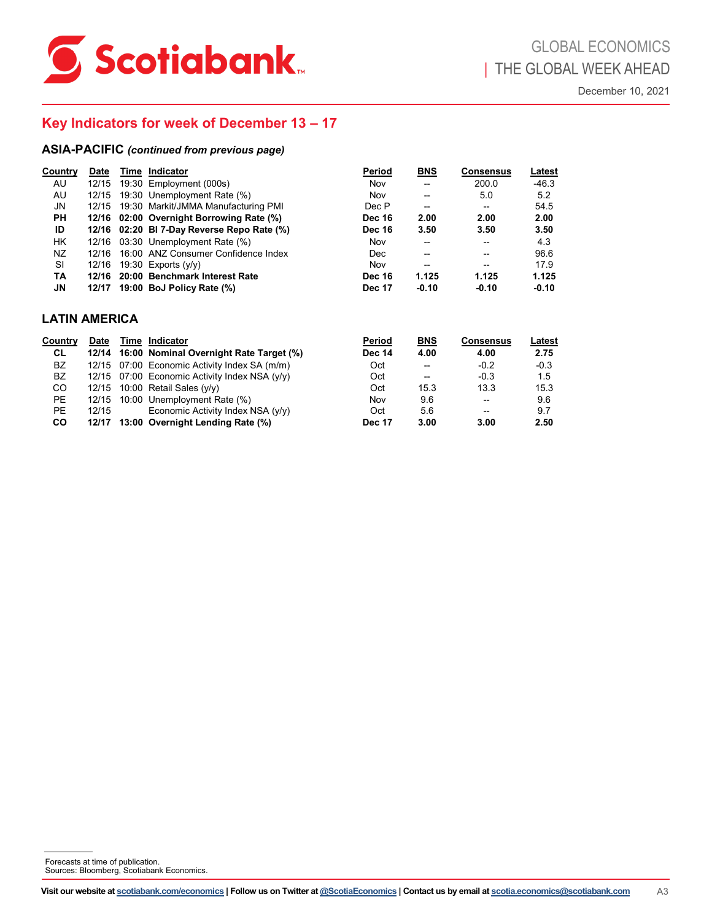

## **Key Indicators for week of December 13 – 17**

|                                   |             | <b>ASIA-PACIFIC</b> (continued from previous page)                                                                                                |                                |                                        |                                  |                          |                |
|-----------------------------------|-------------|---------------------------------------------------------------------------------------------------------------------------------------------------|--------------------------------|----------------------------------------|----------------------------------|--------------------------|----------------|
| <b>Country</b><br>AU              | <b>Date</b> | Time Indicator<br>12/15 19:30 Employment (000s)                                                                                                   | <b>Period</b><br>Nov           | <b>BNS</b><br>$\overline{\phantom{a}}$ | <b>Consensus</b><br>200.0        | <u>Latest</u><br>$-46.3$ |                |
| AU                                |             | 12/15 19:30 Unemployment Rate (%)                                                                                                                 | Nov                            | ÷                                      | 5.0                              | 5.2                      |                |
| JN                                |             | 12/15 19:30 Markit/JMMA Manufacturing PMI                                                                                                         | Dec P                          | --                                     | $\overline{\phantom{a}}$         | 54.5                     |                |
| PH                                |             | 12/16 02:00 Overnight Borrowing Rate (%)                                                                                                          | <b>Dec 16</b><br><b>Dec 16</b> | 2.00                                   | 2.00                             | 2.00                     |                |
| ID<br>HK                          |             | 12/16 02:20 BI 7-Day Reverse Repo Rate (%)<br>12/16 03:30 Unemployment Rate (%)                                                                   | Nov                            | 3.50<br>--                             | 3.50<br>--                       | 3.50<br>4.3              |                |
| NZ                                |             | 12/16 16:00 ANZ Consumer Confidence Index                                                                                                         | Dec                            | --                                     | $\overline{\phantom{a}}$         | 96.6                     |                |
| SI                                |             | 12/16 19:30 Exports (y/y)                                                                                                                         | Nov                            | $\overline{\phantom{a}}$               | $\overline{\phantom{a}}$         | 17.9                     |                |
| TA                                |             | 12/16 20:00 Benchmark Interest Rate                                                                                                               | <b>Dec 16</b>                  | 1.125                                  | 1.125                            | 1.125                    |                |
| ${\sf J}{\sf N}$                  |             | 12/17 19:00 BoJ Policy Rate (%)                                                                                                                   | <b>Dec 17</b>                  | $-0.10$                                | $-0.10$                          | $-0.10$                  |                |
| <b>LATIN AMERICA</b>              |             |                                                                                                                                                   |                                |                                        |                                  |                          |                |
| <b>Country</b>                    | <b>Date</b> | Time Indicator                                                                                                                                    | <b>Period</b>                  | <b>BNS</b>                             | <b>Consensus</b>                 | <b>Latest</b>            |                |
| <b>CL</b>                         |             | 12/14 16:00 Nominal Overnight Rate Target (%)                                                                                                     | <b>Dec 14</b>                  | 4.00                                   | 4.00                             | 2.75                     |                |
| BZ                                |             | 12/15 07:00 Economic Activity Index SA (m/m)                                                                                                      | Oct                            | --                                     | $-0.2$                           | $-0.3$                   |                |
| BZ                                |             | 12/15 07:00 Economic Activity Index NSA (y/y)<br>12/15 10:00 Retail Sales (y/y)                                                                   | Oct                            | --                                     | $-0.3$                           | 1.5                      |                |
| CO<br>PE                          |             | 12/15 10:00 Unemployment Rate (%)                                                                                                                 | Oct<br>Nov                     | 15.3<br>9.6                            | 13.3<br>$\overline{\phantom{a}}$ | 15.3<br>9.6              |                |
| PE                                | 12/15       | Economic Activity Index NSA (y/y)                                                                                                                 | Oct                            | 5.6                                    | $\overline{\phantom{a}}$         | 9.7                      |                |
| CO                                |             | 12/17 13:00 Overnight Lending Rate (%)                                                                                                            | <b>Dec 17</b>                  | 3.00                                   | 3.00                             | 2.50                     |                |
|                                   |             |                                                                                                                                                   |                                |                                        |                                  |                          |                |
|                                   |             |                                                                                                                                                   |                                |                                        |                                  |                          |                |
| Forecasts at time of publication. |             | Sources: Bloomberg, Scotiabank Economics.                                                                                                         |                                |                                        |                                  |                          |                |
|                                   |             | Visit our website at scotiabank.com/economics   Follow us on Twitter at @ScotiaEconomics   Contact us by email at scotia.economics@scotiabank.com |                                |                                        |                                  |                          | A <sub>3</sub> |

## **LATIN AMERICA**

| Countrv | <b>Date</b> | Time Indicator                                  | Period        | <b>BNS</b>     | <b>Consensus</b> | Latest |
|---------|-------------|-------------------------------------------------|---------------|----------------|------------------|--------|
| CL      |             | 12/14 16:00 Nominal Overnight Rate Target (%)   | <b>Dec 14</b> | 4.00           | 4.00             | 2.75   |
| BZ      |             | 12/15 07:00 Economic Activity Index SA (m/m)    | Oct           | $\overline{a}$ | $-0.2$           | $-0.3$ |
| BZ      |             | 12/15 $07:00$ Economic Activity Index NSA (y/y) | Oct           | $\overline{a}$ | $-0.3$           | 1.5    |
| CO.     | 12/15       | 10:00 Retail Sales $(y/y)$                      | Oct           | 15.3           | 13.3             | 15.3   |
| PE.     | 12/15       | 10:00 Unemployment Rate (%)                     | Nov           | 9.6            | --               | 9.6    |
| PE.     | 12/15       | Economic Activity Index NSA (y/y)               | Oct           | 5.6            | --               | 9.7    |
| CO.     |             | 12/17 13:00 Overnight Lending Rate (%)          | <b>Dec 17</b> | 3.00           | 3.00             | 2.50   |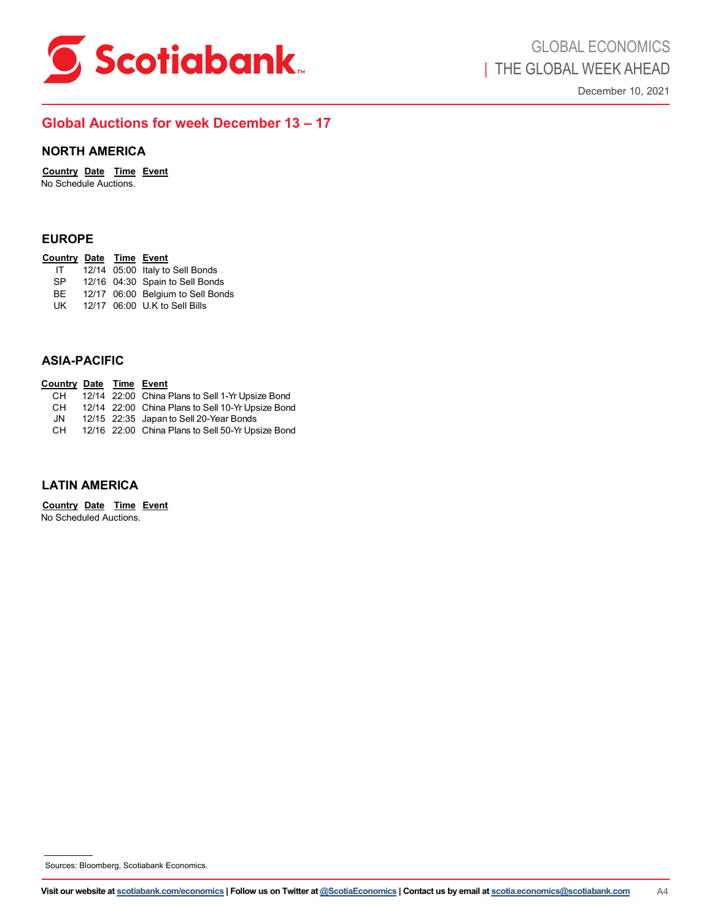<span id="page-9-0"></span>

## **Global Auctions for week December 13 – 17**

## **NORTH AMERICA**

**Country Date Time Event** No Schedule Auctions.

| Country Date Time Event |  |                                   |
|-------------------------|--|-----------------------------------|
| IT                      |  | 12/14 05:00 Italy to Sell Bonds   |
| <b>SP</b>               |  | 12/16 04:30 Spain to Sell Bonds   |
| BE                      |  | 12/17 06:00 Belgium to Sell Bonds |
| UK                      |  | 12/17 06:00 U.K to Sell Bills     |
|                         |  |                                   |

## **ASIA-PACIFIC**

| <b>EUROPE</b>                                          |  |                                                                                                                                                                                                       |    |
|--------------------------------------------------------|--|-------------------------------------------------------------------------------------------------------------------------------------------------------------------------------------------------------|----|
| Country Date Time Event<br>IT<br>SP<br>BE<br>UK        |  | 12/14 05:00 Italy to Sell Bonds<br>12/16 04:30 Spain to Sell Bonds<br>12/17 06:00 Belgium to Sell Bonds<br>12/17 06:00 U.K to Sell Bills                                                              |    |
| <b>ASIA-PACIFIC</b>                                    |  |                                                                                                                                                                                                       |    |
| <b>Country Date Time Event</b><br>CH<br>CH<br>JN<br>CH |  | 12/14 22:00 China Plans to Sell 1-Yr Upsize Bond<br>12/14 22:00 China Plans to Sell 10-Yr Upsize Bond<br>12/15 22:35 Japan to Sell 20-Year Bonds<br>12/16 22:00 China Plans to Sell 50-Yr Upsize Bond |    |
| <b>LATIN AMERICA</b>                                   |  |                                                                                                                                                                                                       |    |
| Country Date Time Event<br>No Scheduled Auctions.      |  |                                                                                                                                                                                                       |    |
|                                                        |  |                                                                                                                                                                                                       |    |
|                                                        |  | Sources: Bloomberg, Scotiabank Economics.                                                                                                                                                             |    |
|                                                        |  | Visit our website at <u>scotiabank.com/economics</u>   Follow us on Twitter at <u>@ScotiaEconomics</u>   Contact us by email at <u>scotia.economics@scotiabank.com</u>                                | A4 |
|                                                        |  |                                                                                                                                                                                                       |    |

## **LATIN AMERICA**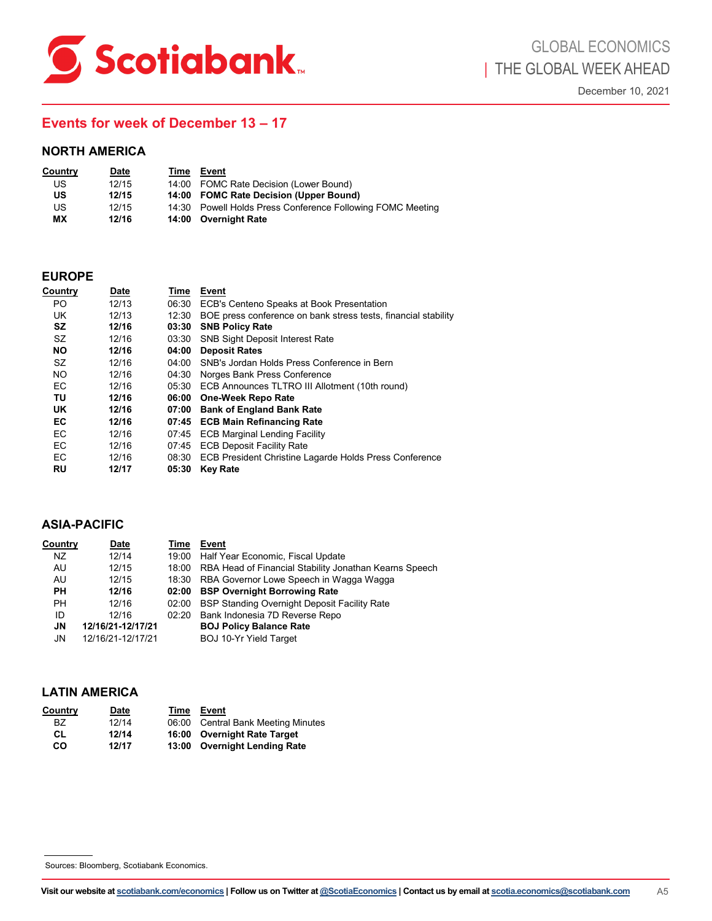<span id="page-10-0"></span>

## **Events for week of December 13 – 17**

| <b>Country</b> | Date  | Time | Event                                                      |
|----------------|-------|------|------------------------------------------------------------|
| US             | 12/15 |      | 14:00 FOMC Rate Decision (Lower Bound)                     |
| US             | 12/15 |      | 14:00 FOMC Rate Decision (Upper Bound)                     |
| US             | 12/15 |      | 14:30 Powell Holds Press Conference Following FOMC Meeting |
| МX             | 12/16 |      | 14:00 Overnight Rate                                       |

## **EUROPE**

|                            | <b>NORTH AMERICA</b>                                 |                |                                                                                                                                                                 |                |
|----------------------------|------------------------------------------------------|----------------|-----------------------------------------------------------------------------------------------------------------------------------------------------------------|----------------|
| <b>Country</b>             | <u>Date</u>                                          |                | <u>Time Event</u>                                                                                                                                               |                |
| US                         | 12/15                                                |                | 14:00 FOMC Rate Decision (Lower Bound)                                                                                                                          |                |
| US                         | 12/15                                                |                | 14:00 FOMC Rate Decision (Upper Bound)                                                                                                                          |                |
| US                         | 12/15                                                |                | 14:30 Powell Holds Press Conference Following FOMC Meeting                                                                                                      |                |
| ΜX                         | 12/16                                                |                | 14:00 Overnight Rate                                                                                                                                            |                |
| <b>EUROPE</b>              |                                                      |                |                                                                                                                                                                 |                |
| <b>Country</b>             | <u>Date</u>                                          |                | Time Event                                                                                                                                                      |                |
| PO.                        | 12/13                                                |                | 06:30 ECB's Centeno Speaks at Book Presentation                                                                                                                 |                |
| UK                         | 12/13                                                |                | 12:30 BOE press conference on bank stress tests, financial stability                                                                                            |                |
| SZ                         | 12/16                                                |                | 03:30 SNB Policy Rate                                                                                                                                           |                |
| SZ                         | 12/16                                                |                | 03:30 SNB Sight Deposit Interest Rate                                                                                                                           |                |
| <b>NO</b><br>SZ            | 12/16                                                |                | 04:00 Deposit Rates                                                                                                                                             |                |
| <b>NO</b>                  | 12/16<br>12/16                                       |                | 04:00 SNB's Jordan Holds Press Conference in Bern<br>04:30 Norges Bank Press Conference                                                                         |                |
| EC                         | 12/16                                                |                | 05:30 ECB Announces TLTRO III Allotment (10th round)                                                                                                            |                |
| ΤU                         | 12/16                                                |                | 06:00 One-Week Repo Rate                                                                                                                                        |                |
| UK                         | 12/16                                                |                | 07:00 Bank of England Bank Rate                                                                                                                                 |                |
| EC                         | 12/16                                                |                | 07:45 ECB Main Refinancing Rate                                                                                                                                 |                |
| EC                         | 12/16                                                |                | 07:45 ECB Marginal Lending Facility                                                                                                                             |                |
| EC                         | 12/16                                                |                | 07:45 ECB Deposit Facility Rate                                                                                                                                 |                |
| EC<br>RU                   | 12/16<br>12/17                                       |                | 08:30 ECB President Christine Lagarde Holds Press Conference<br>05:30 Key Rate                                                                                  |                |
| <b>Country</b><br>ΝZ<br>AU | <b>ASIA-PACIFIC</b><br><u>Date</u><br>12/14<br>12/15 |                | <b>Time Event</b><br>19:00 Half Year Economic, Fiscal Update<br>18:00 RBA Head of Financial Stability Jonathan Kearns Speech                                    |                |
| AU                         | 12/15                                                |                | 18:30 RBA Governor Lowe Speech in Wagga Wagga                                                                                                                   |                |
| PН                         | 12/16                                                |                | 02:00 BSP Overnight Borrowing Rate                                                                                                                              |                |
| PН<br>ID                   | 12/16<br>12/16                                       | 02:00<br>02:20 | <b>BSP Standing Overnight Deposit Facility Rate</b><br>Bank Indonesia 7D Reverse Repo                                                                           |                |
| JN                         | 12/16/21-12/17/21                                    |                | <b>BOJ Policy Balance Rate</b>                                                                                                                                  |                |
| JN                         | 12/16/21-12/17/21                                    |                | BOJ 10-Yr Yield Target                                                                                                                                          |                |
|                            | <b>LATIN AMERICA</b>                                 |                |                                                                                                                                                                 |                |
| Country                    | <u>Date</u>                                          |                | Time Event                                                                                                                                                      |                |
| BZ                         | 12/14                                                | 06:00          | <b>Central Bank Meeting Minutes</b>                                                                                                                             |                |
| <b>CL</b>                  | 12/14                                                | 16:00          | <b>Overnight Rate Target</b>                                                                                                                                    |                |
| co                         | 12/17                                                | 13:00          | <b>Overnight Lending Rate</b>                                                                                                                                   |                |
|                            |                                                      |                |                                                                                                                                                                 |                |
|                            | Sources: Bloomberg, Scotiabank Economics.            |                |                                                                                                                                                                 |                |
|                            |                                                      |                |                                                                                                                                                                 |                |
|                            |                                                      |                | Visit our website at <u>scotiabank.com/economics</u>   Follow us on Twitter at @ScotiaEconomics   Contact us by email at <u>scotia.economics@scotiabank.com</u> | A <sub>5</sub> |

## **ASIA-PACIFIC**

| Country   | Date              | Time | Event                                                        |
|-----------|-------------------|------|--------------------------------------------------------------|
| NZ        | 12/14             |      | 19:00 Half Year Economic, Fiscal Update                      |
| AU        | 12/15             |      | 18:00 RBA Head of Financial Stability Jonathan Kearns Speech |
| AU        | 12/15             |      | 18:30 RBA Governor Lowe Speech in Wagga Wagga                |
| <b>PH</b> | 12/16             |      | 02:00 BSP Overnight Borrowing Rate                           |
| PH.       | 12/16             |      | 02:00 BSP Standing Overnight Deposit Facility Rate           |
| ID        | 12/16             |      | 02:20 Bank Indonesia 7D Reverse Repo                         |
| JN        | 12/16/21-12/17/21 |      | <b>BOJ Policy Balance Rate</b>                               |
| JN        | 12/16/21-12/17/21 |      | <b>BOJ 10-Yr Yield Target</b>                                |
|           |                   |      |                                                              |

## **LATIN AMERICA**

| Country   | Date  | Time  | Event                               |
|-----------|-------|-------|-------------------------------------|
| BZ.       | 12/14 | 06:00 | <b>Central Bank Meeting Minutes</b> |
| CL        | 12/14 |       | 16:00 Overnight Rate Target         |
| <b>CO</b> | 12/17 |       | 13:00 Overnight Lending Rate        |

Sources: Bloomberg, Scotiabank Economics.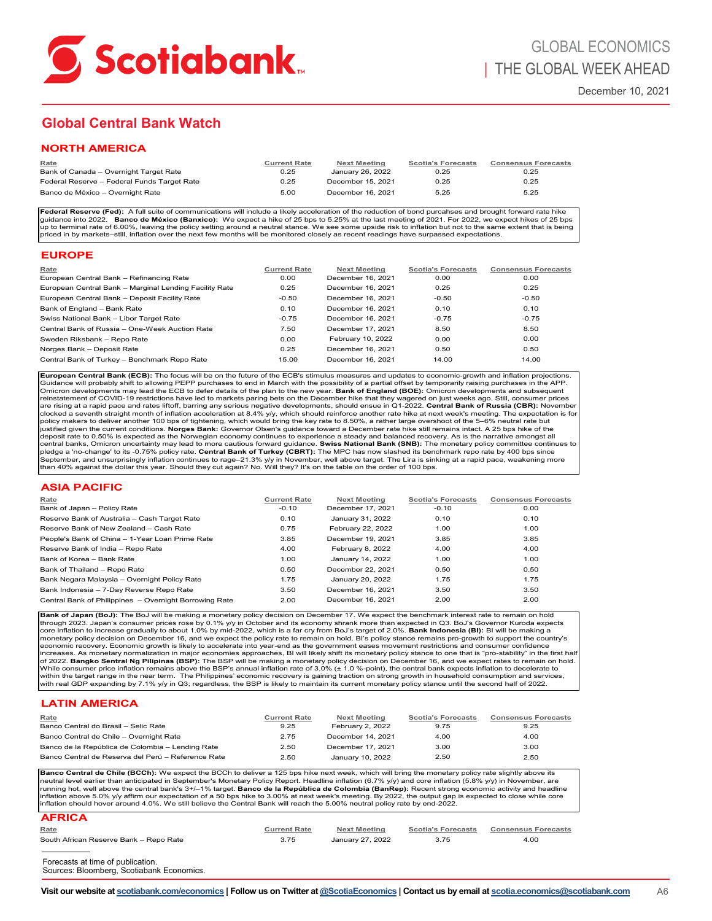<span id="page-11-0"></span>

# **Global Central Bank Watch**

| Rate                                        | <b>Current Rate</b> | <b>Next Meeting</b> | <b>Scotia's Forecasts</b> | <b>Consensus Forecasts</b> |
|---------------------------------------------|---------------------|---------------------|---------------------------|----------------------------|
| Bank of Canada - Overnight Target Rate      | 0.25                | January 26, 2022    | 0.25                      | 0.25                       |
| Federal Reserve - Federal Funds Target Rate | 0.25                | December 15, 2021   | 0.25                      | 0.25                       |
| Banco de México - Overnight Rate            | 5.00                | December 16, 2021   | 5.25                      | 5.25                       |

### **EUROPE**

| Rate                                                   | <b>Current Rate</b> | <b>Next Meeting</b> | <b>Scotia's Forecasts</b> | <b>Consensus Forecasts</b> |
|--------------------------------------------------------|---------------------|---------------------|---------------------------|----------------------------|
| European Central Bank - Refinancing Rate               | 0.00                | December 16, 2021   | 0.00                      | 0.00                       |
| European Central Bank - Marginal Lending Facility Rate | 0.25                | December 16, 2021   | 0.25                      | 0.25                       |
| European Central Bank - Deposit Facility Rate          | $-0.50$             | December 16, 2021   | $-0.50$                   | $-0.50$                    |
| Bank of England - Bank Rate                            | 0.10                | December 16, 2021   | 0.10                      | 0.10                       |
| Swiss National Bank - Libor Target Rate                | $-0.75$             | December 16, 2021   | $-0.75$                   | $-0.75$                    |
| Central Bank of Russia - One-Week Auction Rate         | 7.50                | December 17, 2021   | 8.50                      | 8.50                       |
| Sweden Riksbank - Repo Rate                            | 0.00                | February 10, 2022   | 0.00                      | 0.00                       |
| Norges Bank - Deposit Rate                             | 0.25                | December 16, 2021   | 0.50                      | 0.50                       |
| Central Bank of Turkey - Benchmark Repo Rate           | 15.00               | December 16, 2021   | 14.00                     | 14.00                      |

### **ASIA PACIFIC**

| NORTH AMERICA                                                                                                                                                                                                                                                                                                                                                                                                                                                                                                                                                                                                                                                                                                                                                                                                                                                                                                                                                                                                                                                                                                                                                                                                                                                                                                                                                                                                                                                                                                                                                                                 |                             |                                          |                                   |                                    |
|-----------------------------------------------------------------------------------------------------------------------------------------------------------------------------------------------------------------------------------------------------------------------------------------------------------------------------------------------------------------------------------------------------------------------------------------------------------------------------------------------------------------------------------------------------------------------------------------------------------------------------------------------------------------------------------------------------------------------------------------------------------------------------------------------------------------------------------------------------------------------------------------------------------------------------------------------------------------------------------------------------------------------------------------------------------------------------------------------------------------------------------------------------------------------------------------------------------------------------------------------------------------------------------------------------------------------------------------------------------------------------------------------------------------------------------------------------------------------------------------------------------------------------------------------------------------------------------------------|-----------------------------|------------------------------------------|-----------------------------------|------------------------------------|
| Rate<br>Bank of Canada - Overnight Target Rate                                                                                                                                                                                                                                                                                                                                                                                                                                                                                                                                                                                                                                                                                                                                                                                                                                                                                                                                                                                                                                                                                                                                                                                                                                                                                                                                                                                                                                                                                                                                                | <b>Current Rate</b><br>0.25 | <b>Next Meeting</b><br>January 26, 2022  | <b>Scotia's Forecasts</b><br>0.25 | <b>Consensus Forecasts</b><br>0.25 |
| Federal Reserve - Federal Funds Target Rate                                                                                                                                                                                                                                                                                                                                                                                                                                                                                                                                                                                                                                                                                                                                                                                                                                                                                                                                                                                                                                                                                                                                                                                                                                                                                                                                                                                                                                                                                                                                                   | 0.25                        | December 15, 2021                        | 0.25                              | 0.25                               |
| Banco de México - Overnight Rate                                                                                                                                                                                                                                                                                                                                                                                                                                                                                                                                                                                                                                                                                                                                                                                                                                                                                                                                                                                                                                                                                                                                                                                                                                                                                                                                                                                                                                                                                                                                                              | 5.00                        | December 16, 2021                        | 5.25                              | 5.25                               |
| Federal Reserve (Fed): A full suite of communications will include a likely acceleration of the reduction of bond purcahses and brought forward rate hike<br>guidance into 2022. Banco de México (Banxico): We expect a hike of 25 bps to 5.25% at the last meeting of 2021. For 2022, we expect hikes of 25 bps<br>up to terminal rate of 6.00%, leaving the policy setting around a neutral stance. We see some upside risk to inflation but not to the same extent that is being<br>priced in by markets-still, inflation over the next few months will be monitored closely as recent readings have surpassed expectations.                                                                                                                                                                                                                                                                                                                                                                                                                                                                                                                                                                                                                                                                                                                                                                                                                                                                                                                                                               |                             |                                          |                                   |                                    |
| <b>EUROPE</b>                                                                                                                                                                                                                                                                                                                                                                                                                                                                                                                                                                                                                                                                                                                                                                                                                                                                                                                                                                                                                                                                                                                                                                                                                                                                                                                                                                                                                                                                                                                                                                                 |                             |                                          |                                   |                                    |
| <u>Rate</u><br>European Central Bank - Refinancing Rate                                                                                                                                                                                                                                                                                                                                                                                                                                                                                                                                                                                                                                                                                                                                                                                                                                                                                                                                                                                                                                                                                                                                                                                                                                                                                                                                                                                                                                                                                                                                       | <b>Current Rate</b><br>0.00 | <b>Next Meeting</b><br>December 16, 2021 | <b>Scotia's Forecasts</b><br>0.00 | <b>Consensus Forecasts</b><br>0.00 |
| European Central Bank - Marginal Lending Facility Rate                                                                                                                                                                                                                                                                                                                                                                                                                                                                                                                                                                                                                                                                                                                                                                                                                                                                                                                                                                                                                                                                                                                                                                                                                                                                                                                                                                                                                                                                                                                                        | 0.25                        | December 16, 2021                        | 0.25                              | 0.25                               |
| European Central Bank - Deposit Facility Rate<br>Bank of England - Bank Rate                                                                                                                                                                                                                                                                                                                                                                                                                                                                                                                                                                                                                                                                                                                                                                                                                                                                                                                                                                                                                                                                                                                                                                                                                                                                                                                                                                                                                                                                                                                  | $-0.50$<br>0.10             | December 16, 2021<br>December 16, 2021   | $-0.50$<br>0.10                   | $-0.50$<br>0.10                    |
| Swiss National Bank - Libor Target Rate                                                                                                                                                                                                                                                                                                                                                                                                                                                                                                                                                                                                                                                                                                                                                                                                                                                                                                                                                                                                                                                                                                                                                                                                                                                                                                                                                                                                                                                                                                                                                       | $-0.75$                     | December 16, 2021                        | $-0.75$                           | $-0.75$                            |
| Central Bank of Russia - One-Week Auction Rate                                                                                                                                                                                                                                                                                                                                                                                                                                                                                                                                                                                                                                                                                                                                                                                                                                                                                                                                                                                                                                                                                                                                                                                                                                                                                                                                                                                                                                                                                                                                                | 7.50                        | December 17, 2021                        | 8.50                              | 8.50                               |
| Sweden Riksbank - Repo Rate                                                                                                                                                                                                                                                                                                                                                                                                                                                                                                                                                                                                                                                                                                                                                                                                                                                                                                                                                                                                                                                                                                                                                                                                                                                                                                                                                                                                                                                                                                                                                                   | 0.00                        | February 10, 2022                        | 0.00                              | 0.00                               |
| Norges Bank - Deposit Rate                                                                                                                                                                                                                                                                                                                                                                                                                                                                                                                                                                                                                                                                                                                                                                                                                                                                                                                                                                                                                                                                                                                                                                                                                                                                                                                                                                                                                                                                                                                                                                    | 0.25                        | December 16, 2021                        | 0.50                              | 0.50                               |
| Central Bank of Turkey - Benchmark Repo Rate                                                                                                                                                                                                                                                                                                                                                                                                                                                                                                                                                                                                                                                                                                                                                                                                                                                                                                                                                                                                                                                                                                                                                                                                                                                                                                                                                                                                                                                                                                                                                  | 15.00                       | December 16, 2021                        | 14.00                             | 14.00                              |
| policy makers to deliver another 100 bps of tightening, which would bring the key rate to 8.50%, a rather large overshoot of the 5-6% neutral rate but<br>justified given the current conditions. Norges Bank: Governor Olsen's guidance toward a December rate hike still remains intact. A 25 bps hike of the<br>deposit rate to 0.50% is expected as the Norwegian economy continues to experience a steady and balanced recovery. As is the narrative amongst all<br>central banks, Omicron uncertainty may lead to more cautious forward guidance. Swiss National Bank (SNB): The monetary policy committee continues to<br>pledge a 'no-change' to its -0.75% policy rate. Central Bank of Turkey (CBRT): The MPC has now slashed its benchmark repo rate by 400 bps since<br>September, and unsurprisingly inflation continues to rage-21.3% y/y in November, well above target. The Lira is sinking at a rapid pace, weakening more<br>than 40% against the dollar this year. Should they cut again? No. Will they? It's on the table on the order of 100 bps.                                                                                                                                                                                                                                                                                                                                                                                                                                                                                                                        |                             |                                          |                                   |                                    |
| ASIA PACIFIC                                                                                                                                                                                                                                                                                                                                                                                                                                                                                                                                                                                                                                                                                                                                                                                                                                                                                                                                                                                                                                                                                                                                                                                                                                                                                                                                                                                                                                                                                                                                                                                  |                             |                                          |                                   |                                    |
| Rate                                                                                                                                                                                                                                                                                                                                                                                                                                                                                                                                                                                                                                                                                                                                                                                                                                                                                                                                                                                                                                                                                                                                                                                                                                                                                                                                                                                                                                                                                                                                                                                          | <b>Current Rate</b>         | <b>Next Meeting</b>                      | <b>Scotia's Forecasts</b>         | <b>Consensus Forecasts</b>         |
| Bank of Japan - Policy Rate                                                                                                                                                                                                                                                                                                                                                                                                                                                                                                                                                                                                                                                                                                                                                                                                                                                                                                                                                                                                                                                                                                                                                                                                                                                                                                                                                                                                                                                                                                                                                                   | $-0.10$                     | December 17, 2021                        | $-0.10$                           | 0.00                               |
| Reserve Bank of Australia - Cash Target Rate<br>Reserve Bank of New Zealand - Cash Rate                                                                                                                                                                                                                                                                                                                                                                                                                                                                                                                                                                                                                                                                                                                                                                                                                                                                                                                                                                                                                                                                                                                                                                                                                                                                                                                                                                                                                                                                                                       | 0.10<br>0.75                | January 31, 2022<br>February 22, 2022    | 0.10<br>1.00                      | 0.10<br>1.00                       |
| People's Bank of China - 1-Year Loan Prime Rate                                                                                                                                                                                                                                                                                                                                                                                                                                                                                                                                                                                                                                                                                                                                                                                                                                                                                                                                                                                                                                                                                                                                                                                                                                                                                                                                                                                                                                                                                                                                               | 3.85                        | December 19, 2021                        | 3.85                              | 3.85                               |
| Reserve Bank of India - Repo Rate                                                                                                                                                                                                                                                                                                                                                                                                                                                                                                                                                                                                                                                                                                                                                                                                                                                                                                                                                                                                                                                                                                                                                                                                                                                                                                                                                                                                                                                                                                                                                             | 4.00                        | February 8, 2022                         | 4.00                              | 4.00                               |
| Bank of Korea - Bank Rate                                                                                                                                                                                                                                                                                                                                                                                                                                                                                                                                                                                                                                                                                                                                                                                                                                                                                                                                                                                                                                                                                                                                                                                                                                                                                                                                                                                                                                                                                                                                                                     | 1.00                        | January 14, 2022                         | 1.00                              | 1.00                               |
| Bank of Thailand - Repo Rate                                                                                                                                                                                                                                                                                                                                                                                                                                                                                                                                                                                                                                                                                                                                                                                                                                                                                                                                                                                                                                                                                                                                                                                                                                                                                                                                                                                                                                                                                                                                                                  | 0.50                        | December 22, 2021                        | 0.50                              | 0.50                               |
| Bank Negara Malaysia - Overnight Policy Rate                                                                                                                                                                                                                                                                                                                                                                                                                                                                                                                                                                                                                                                                                                                                                                                                                                                                                                                                                                                                                                                                                                                                                                                                                                                                                                                                                                                                                                                                                                                                                  | 1.75                        | January 20, 2022                         | 1.75                              | 1.75                               |
| Bank Indonesia - 7-Day Reverse Repo Rate<br>Central Bank of Philippines - Overnight Borrowing Rate                                                                                                                                                                                                                                                                                                                                                                                                                                                                                                                                                                                                                                                                                                                                                                                                                                                                                                                                                                                                                                                                                                                                                                                                                                                                                                                                                                                                                                                                                            | 3.50<br>2.00                | December 16, 2021<br>December 16, 2021   | 3.50<br>2.00                      | 3.50<br>2.00                       |
| Bank of Japan (BoJ): The BoJ will be making a monetary policy decision on December 17. We expect the benchmark interest rate to remain on hold<br>through 2023. Japan's consumer prices rose by 0.1% y/y in October and its economy shrank more than expected in Q3. BoJ's Governor Kuroda expects<br>core inflation to increase gradually to about 1.0% by mid-2022, which is a far cry from BoJ's target of 2.0%. Bank Indonesia (BI): BI will be making a<br>monetary policy decision on December 16, and we expect the policy rate to remain on hold. Bl's policy stance remains pro-growth to support the country's<br>economic recovery. Economic growth is likely to accelerate into year-end as the government eases movement restrictions and consumer confidence<br>increases. As monetary normalization in major economies approaches, BI will likely shift its monetary policy stance to one that is "pro-stability" in the first half<br>of 2022. Bangko Sentral Ng Pilipinas (BSP): The BSP will be making a monetary policy decision on December 16, and we expect rates to remain on hold.<br>While consumer price inflation remains above the BSP's annual inflation rate of 3.0% (± 1.0 %-point), the central bank expects inflation to decelerate to<br>within the target range in the near term. The Philippines' economic recovery is gaining traction on strong growth in household consumption and services,<br>with real GDP expanding by 7.1% y/y in Q3; regardless, the BSP is likely to maintain its current monetary policy stance until the second half of 2022. |                             |                                          |                                   |                                    |
| <b>LATIN AMERICA</b>                                                                                                                                                                                                                                                                                                                                                                                                                                                                                                                                                                                                                                                                                                                                                                                                                                                                                                                                                                                                                                                                                                                                                                                                                                                                                                                                                                                                                                                                                                                                                                          |                             |                                          |                                   |                                    |
| Rate<br>Banco Central do Brasil - Selic Rate                                                                                                                                                                                                                                                                                                                                                                                                                                                                                                                                                                                                                                                                                                                                                                                                                                                                                                                                                                                                                                                                                                                                                                                                                                                                                                                                                                                                                                                                                                                                                  | <b>Current Rate</b><br>9.25 | <b>Next Meeting</b><br>February 2, 2022  | <b>Scotia's Forecasts</b><br>9.75 | <b>Consensus Forecasts</b><br>9.25 |
| Banco Central de Chile - Overnight Rate                                                                                                                                                                                                                                                                                                                                                                                                                                                                                                                                                                                                                                                                                                                                                                                                                                                                                                                                                                                                                                                                                                                                                                                                                                                                                                                                                                                                                                                                                                                                                       | 2.75                        | December 14, 2021                        | 4.00                              | 4.00                               |
| Banco de la República de Colombia - Lending Rate                                                                                                                                                                                                                                                                                                                                                                                                                                                                                                                                                                                                                                                                                                                                                                                                                                                                                                                                                                                                                                                                                                                                                                                                                                                                                                                                                                                                                                                                                                                                              | 2.50                        | December 17, 2021                        | 3.00                              | 3.00                               |
| Banco Central de Reserva del Perú - Reference Rate                                                                                                                                                                                                                                                                                                                                                                                                                                                                                                                                                                                                                                                                                                                                                                                                                                                                                                                                                                                                                                                                                                                                                                                                                                                                                                                                                                                                                                                                                                                                            | 2.50                        | January 10, 2022                         | 2.50                              | 2.50                               |
| Banco Central de Chile (BCCh): We expect the BCCh to deliver a 125 bps hike next week, which will bring the monetary policy rate slightly above its<br>neutral level earlier than anticipated in September's Monetary Policy Report. Headline inflation (6.7% y/y) and core inflation (5.8% y/y) in November, are<br>running hot, well above the central bank's 3+/-1% target. Banco de la República de Colombia (BanRep): Recent strong economic activity and headline<br>inflation above 5.0% y/y affirm our expectation of a 50 bps hike to 3.00% at next week's meeting. By 2022, the output gap is expected to close while core<br>inflation should hover around 4.0%. We still believe the Central Bank will reach the 5.00% neutral policy rate by end-2022.                                                                                                                                                                                                                                                                                                                                                                                                                                                                                                                                                                                                                                                                                                                                                                                                                           |                             |                                          |                                   |                                    |
| AFRICA<br>Rate                                                                                                                                                                                                                                                                                                                                                                                                                                                                                                                                                                                                                                                                                                                                                                                                                                                                                                                                                                                                                                                                                                                                                                                                                                                                                                                                                                                                                                                                                                                                                                                | <b>Current Rate</b>         | <b>Next Meeting</b>                      | <b>Scotia's Forecasts</b>         | <b>Consensus Forecasts</b>         |
| South African Reserve Bank - Repo Rate                                                                                                                                                                                                                                                                                                                                                                                                                                                                                                                                                                                                                                                                                                                                                                                                                                                                                                                                                                                                                                                                                                                                                                                                                                                                                                                                                                                                                                                                                                                                                        | 3.75                        | January 27, 2022                         | 3.75                              | 4.00                               |
| Forecasts at time of publication.<br>Sources: Bloomberg, Scotiabank Economics.                                                                                                                                                                                                                                                                                                                                                                                                                                                                                                                                                                                                                                                                                                                                                                                                                                                                                                                                                                                                                                                                                                                                                                                                                                                                                                                                                                                                                                                                                                                |                             |                                          |                                   |                                    |
| Visit our website at scotiabank.com/economics   Follow us on Twitter at @ScotiaEconomics   Contact us by email at scotia.economics@scotiabank.com                                                                                                                                                                                                                                                                                                                                                                                                                                                                                                                                                                                                                                                                                                                                                                                                                                                                                                                                                                                                                                                                                                                                                                                                                                                                                                                                                                                                                                             |                             |                                          |                                   |                                    |

## **LATIN AMERICA**

| Rate<br>Banco Central do Brasil - Selic Rate       | <b>Current Rate</b><br>9.25 | Next Meeting<br>February 2, 2022 | <b>Scotia's Forecasts</b><br>9.75 | <b>Consensus Forecasts</b><br>9.25 |
|----------------------------------------------------|-----------------------------|----------------------------------|-----------------------------------|------------------------------------|
| Banco Central de Chile - Overnight Rate            | 2.75                        | December 14, 2021                | 4.00                              | 4.00                               |
| Banco de la República de Colombia - Lending Rate   | 2.50                        | December 17, 2021                | 3.00                              | 3.00                               |
| Banco Central de Reserva del Perú - Reference Rate | 2.50                        | January 10, 2022                 | 2.50                              | 2.50                               |

| <b>AFRICA</b>                                                                  |                     |                     |                           |                            |
|--------------------------------------------------------------------------------|---------------------|---------------------|---------------------------|----------------------------|
| Rate                                                                           | <b>Current Rate</b> | <b>Next Meeting</b> | <b>Scotia's Forecasts</b> | <b>Consensus Forecasts</b> |
| South African Reserve Bank - Repo Rate                                         | 3.75                | January 27, 2022    | 3.75                      | 4.00                       |
|                                                                                |                     |                     |                           |                            |
| Forecasts at time of publication.<br>Sources: Bloomberg, Scotiabank Economics. |                     |                     |                           |                            |